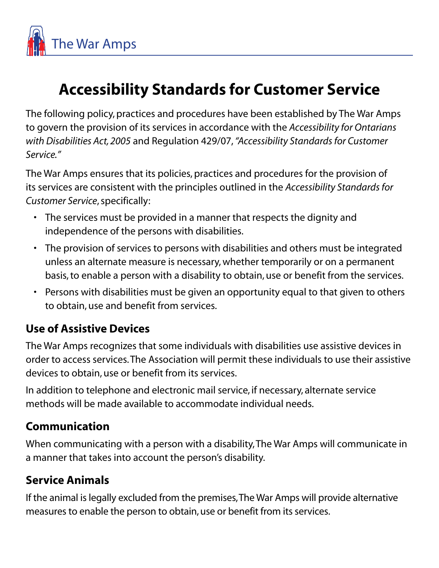

# **Accessibility Standards for Customer Service**

The following policy, practices and procedures have been established by The War Amps to govern the provision of its services in accordance with the *Accessibility for Ontarians with Disabilities Act, 2005* and Regulation 429/07, *"Accessibility Standards for Customer Service."*

The War Amps ensures that its policies, practices and procedures for the provision of its services are consistent with the principles outlined in the *Accessibility Standards for Customer Service*, specifically:

- The services must be provided in a manner that respects the dignity and independence of the persons with disabilities.
- The provision of services to persons with disabilities and others must be integrated unless an alternate measure is necessary, whether temporarily or on a permanent basis, to enable a person with a disability to obtain, use or benefit from the services.
- Persons with disabilities must be given an opportunity equal to that given to others to obtain, use and benefit from services.

#### **Use of Assistive Devices**

The War Amps recognizes that some individuals with disabilities use assistive devices in order to access services. The Association will permit these individuals to use their assistive devices to obtain, use or benefit from its services.

In addition to telephone and electronic mail service, if necessary, alternate service methods will be made available to accommodate individual needs.

### **Communication**

When communicating with a person with a disability, The War Amps will communicate in a manner that takes into account the person's disability.

### **Service Animals**

If the animal is legally excluded from the premises, The War Amps will provide alternative measures to enable the person to obtain, use or benefit from its services.